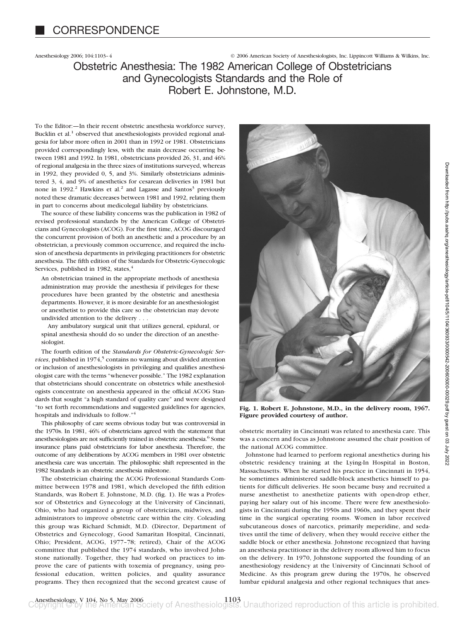Anesthesiology 2006; 104:1103–4 © 2006 American Society of Anesthesiologists, Inc. Lippincott Williams & Wilkins, Inc.

Obstetric Anesthesia: The 1982 American College of Obstetricians and Gynecologists Standards and the Role of Robert E. Johnstone, M.D.

To the Editor:—In their recent obstetric anesthesia workforce survey, Bucklin et al.<sup>1</sup> observed that anesthesiologists provided regional analgesia for labor more often in 2001 than in 1992 or 1981. Obstetricians provided correspondingly less, with the main decrease occurring between 1981 and 1992. In 1981, obstetricians provided 26, 31, and 46% of regional analgesia in the three sizes of institutions surveyed, whereas in 1992, they provided 0, 5, and 3%. Similarly obstetricians administered 3, 4, and 9% of anesthetics for cesarean deliveries in 1981 but none in 1992.<sup>2</sup> Hawkins et al.<sup>2</sup> and Lagasse and Santos<sup>3</sup> previously noted these dramatic decreases between 1981 and 1992, relating them in part to concerns about medicolegal liability by obstetricians.

The source of these liability concerns was the publication in 1982 of revised professional standards by the American College of Obstetricians and Gynecologists (ACOG). For the first time, ACOG discouraged the concurrent provision of both an anesthetic and a procedure by an obstetrician, a previously common occurrence, and required the inclusion of anesthesia departments in privileging practitioners for obstetric anesthesia. The fifth edition of the Standards for Obstetric-Gynecologic Services, published in 1982, states, $4$ 

An obstetrician trained in the appropriate methods of anesthesia administration may provide the anesthesia if privileges for these procedures have been granted by the obstetric and anesthesia departments. However, it is more desirable for an anesthesiologist or anesthetist to provide this care so the obstetrician may devote undivided attention to the delivery...

Any ambulatory surgical unit that utilizes general, epidural, or spinal anesthesia should do so under the direction of an anesthesiologist.

The fourth edition of the *Standards for Obstetric-Gynecologic Ser-, published in*  $1974<sup>5</sup>$  *contains no warning about divided attention* or inclusion of anesthesiologists in privileging and qualifies anesthesiologist care with the terms "whenever possible." The 1982 explanation that obstetricians should concentrate on obstetrics while anesthesiologists concentrate on anesthesia appeared in the official ACOG Standards that sought "a high standard of quality care" and were designed "to set forth recommendations and suggested guidelines for agencies, hospitals and individuals to follow."<sup>4</sup>

This philosophy of care seems obvious today but was controversial in the 1970s. In 1981, 46% of obstetricians agreed with the statement that anesthesiologists are not sufficiently trained in obstetric anesthesia.<sup>6</sup> Some insurance plans paid obstetricians for labor anesthesia. Therefore, the outcome of any deliberations by ACOG members in 1981 over obstetric anesthesia care was uncertain. The philosophic shift represented in the 1982 Standards is an obstetric anesthesia milestone.

The obstetrician chairing the ACOG Professional Standards Committee between 1978 and 1981, which developed the fifth edition Standards, was Robert E. Johnstone, M.D. (fig. 1). He was a Professor of Obstetrics and Gynecology at the University of Cincinnati, Ohio, who had organized a group of obstetricians, midwives, and administrators to improve obstetric care within the city. Coleading this group was Richard Schmidt, M.D. (Director, Department of Obstetrics and Gynecology, Good Samaritan Hospital, Cincinnati, Ohio; President, ACOG, 1977–78; retired), Chair of the ACOG committee that published the 1974 standards, who involved Johnstone nationally. Together, they had worked on practices to improve the care of patients with toxemia of pregnancy, using professional education, written policies, and quality assurance programs. They then recognized that the second greatest cause of



**Fig. 1. Robert E. Johnstone, M.D., in the delivery room, 1967. Figure provided courtesy of author.**

obstetric mortality in Cincinnati was related to anesthesia care. This was a concern and focus as Johnstone assumed the chair position of the national ACOG committee.

Johnstone had learned to perform regional anesthetics during his obstetric residency training at the Lying-In Hospital in Boston, Massachusetts. When he started his practice in Cincinnati in 1954, he sometimes administered saddle-block anesthetics himself to patients for difficult deliveries. He soon became busy and recruited a nurse anesthetist to anesthetize patients with open-drop ether, paying her salary out of his income. There were few anesthesiologists in Cincinnati during the 1950s and 1960s, and they spent their time in the surgical operating rooms. Women in labor received subcutaneous doses of narcotics, primarily meperidine, and sedatives until the time of delivery, when they would receive either the saddle block or ether anesthesia. Johnstone recognized that having an anesthesia practitioner in the delivery room allowed him to focus on the delivery. In 1970, Johnstone supported the founding of an anesthesiology residency at the University of Cincinnati School of Medicine. As this program grew during the 1970s, he observed lumbar epidural analgesia and other regional techniques that anes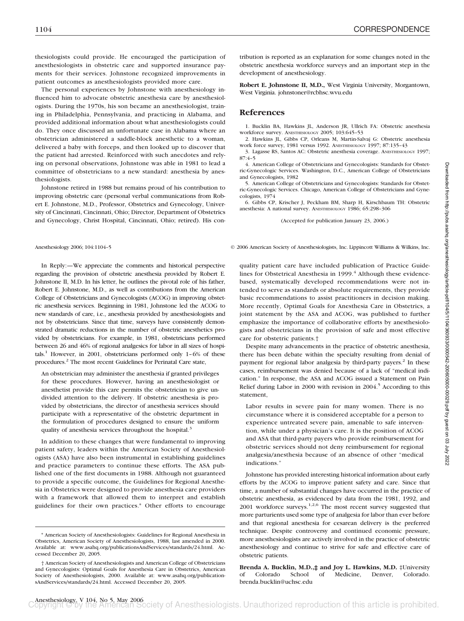thesiologists could provide. He encouraged the participation of anesthesiologists in obstetric care and supported insurance payments for their services. Johnstone recognized improvements in patient outcomes as anesthesiologists provided more care.

The personal experiences by Johnstone with anesthesiology influenced him to advocate obstetric anesthesia care by anesthesiologists. During the 1970s, his son became an anesthesiologist, training in Philadelphia, Pennsylvania, and practicing in Alabama, and provided additional information about what anesthesiologists could do. They once discussed an unfortunate case in Alabama where an obstetrician administered a saddle-block anesthetic to a woman, delivered a baby with forceps, and then looked up to discover that the patient had arrested. Reinforced with such anecdotes and relying on personal observations, Johnstone was able in 1981 to lead a committee of obstetricians to a new standard: anesthesia by anesthesiologists.

Johnstone retired in 1988 but remains proud of his contribution to improving obstetric care (personal verbal communications from Robert E. Johnstone, M.D., Professor, Obstetrics and Gynecology, University of Cincinnati, Cincinnati, Ohio; Director, Department of Obstetrics and Gynecology, Christ Hospital, Cincinnati, Ohio; retired). His con-

In Reply:—We appreciate the comments and historical perspective regarding the provision of obstetric anesthesia provided by Robert E. Johnstone II, M.D. In his letter, he outlines the pivotal role of his father, Robert E. Johnstone, M.D., as well as contributions from the American College of Obstetricians and Gynecologists (ACOG) in improving obstetric anesthesia services. Beginning in 1981, Johnstone led the ACOG to new standards of care, i.e., anesthesia provided by anesthesiologists and not by obstetricians. Since that time, surveys have consistently demonstrated dramatic reductions in the number of obstetric anesthetics provided by obstetricians. For example, in 1981, obstetricians performed between 26 and 46% of regional analgesics for labor in all sizes of hospitals.<sup>1</sup> However, in 2001, obstetricians performed only  $1-6%$  of these procedures.2 The most recent Guidelines for Perinatal Care state,

An obstetrician may administer the anesthesia if granted privileges for these procedures. However, having an anesthesiologist or anesthetist provide this care permits the obstetrician to give undivided attention to the delivery. If obstetric anesthesia is provided by obstetricians, the director of anesthesia services should participate with a representative of the obstetric department in the formulation of procedures designed to ensure the uniform quality of anesthesia services throughout the hospital.<sup>3</sup>

In addition to these changes that were fundamental to improving patient safety, leaders within the American Society of Anesthesiologists (ASA) have also been instrumental in establishing guidelines and practice parameters to continue these efforts. The ASA published one of the first documents in 1988. Although not guaranteed to provide a specific outcome, the Guidelines for Regional Anesthesia in Obstetrics were designed to provide anesthesia care providers with a framework that allowed them to interpret and establish guidelines for their own practices.\* Other efforts to encourage

tribution is reported as an explanation for some changes noted in the obstetric anesthesia workforce surveys and an important step in the development of anesthesiology.

**Robert E. Johnstone II, M.D.,** West Virginia University, Morgantown, West Virginia. johnstoner@rcbhsc.wvu.edu

### **References**

1. Bucklin BA, Hawkins JL, Anderson JR, Ullrich FA: Obstetric anesthesia workforce survey. ANESTHESIOLOGY 2005; 103:645–53

2. Hawkins JL, Gibbs CP, Orleans M, Martin-Salvaj G: Obstetric anesthesia work force survey, 1981 versus 1992. ANESTHESIOLOGY 1997; 87:135–43

3. Lagasse RS, Santos AC: Obstetric anesthesia coverage. ANESTHESIOLOGY 1997; 87:4–5

4. American College of Obstetricians and Gynecologists: Standards for Obstetric-Gynecologic Services. Washington, D.C., American College of Obstetricians and Gynecologists, 1982

5. American College of Obstetricians and Gynecologists: Standards for Obstetric-Gynecologic Services. Chicago, American College of Obstetricians and Gynecologists, 1974

6. Gibbs CP, Krischer J, Peckham BM, Sharp H, Kirschbaum TH: Obstetric anesthesia: A national survey. ANESTHESIOLOGY 1986; 65:298–306

(Accepted for publication January 23, 2006.)

Anesthesiology 2006; 104:1104-5 © 2006 American Society of Anesthesiologists, Inc. Lippincott Williams & Wilkins, Inc.

quality patient care have included publication of Practice Guidelines for Obstetrical Anesthesia in 1999. $4$  Although these evidencebased, systematically developed recommendations were not intended to serve as standards or absolute requirements, they provide basic recommendations to assist practitioners in decision making. More recently, Optimal Goals for Anesthesia Care in Obstetrics, a joint statement by the ASA and ACOG, was published to further emphasize the importance of collaborative efforts by anesthesiologists and obstetricians in the provision of safe and most effective care for obstetric patients.†

Despite many advancements in the practice of obstetric anesthesia, there has been debate within the specialty resulting from denial of payment for regional labor analgesia by third-party payers.<sup>2</sup> In these cases, reimbursement was denied because of a lack of "medical indication." In response, the ASA and ACOG issued a Statement on Pain Relief during Labor in 2000 with revision in 2004.<sup>5</sup> According to this statement,

Labor results in severe pain for many women. There is no circumstance where it is considered acceptable for a person to experience untreated severe pain, amenable to safe intervention, while under a physician's care. It is the position of ACOG and ASA that third-party payers who provide reimbursement for obstetric services should not deny reimbursement for regional analgesia/anesthesia because of an absence of other "medical indications."

Johnstone has provided interesting historical information about early efforts by the ACOG to improve patient safety and care. Since that time, a number of substantial changes have occurred in the practice of obstetric anesthesia, as evidenced by data from the 1981, 1992, and 2001 workforce surveys.1,2,6 The most recent survey suggested that more parturients used some type of analgesia for labor than ever before and that regional anesthesia for cesarean delivery is the preferred technique. Despite controversy and continued economic pressure, more anesthesiologists are actively involved in the practice of obstetric anesthesiology and continue to strive for safe and effective care of obstetric patients.

**Brenda A. Bucklin, M.D.,‡ and Joy L. Hawkins, M.D.** ‡University of Colorado School of Medicine, Denver, Colorado. brenda.bucklin@uchsc.edu

<sup>\*</sup> American Society of Anesthesiologists: Guidelines for Regional Anesthesia in Obstetrics, American Society of Anesthesiologists, 1988, last amended in 2000. Available at: www.asahq.org/publicationsAndServices/standards/24.html. Accessed December 20, 2005.

<sup>†</sup> American Society of Anesthesiologists and American College of Obstetricians and Gynecologists: Optimal Goals for Anesthesia Care in Obstetrics, American Society of Anesthesiologists, 2000. Available at: www.asahq.org/publicationsAndServices/standards/24.html. Accessed December 20, 2005.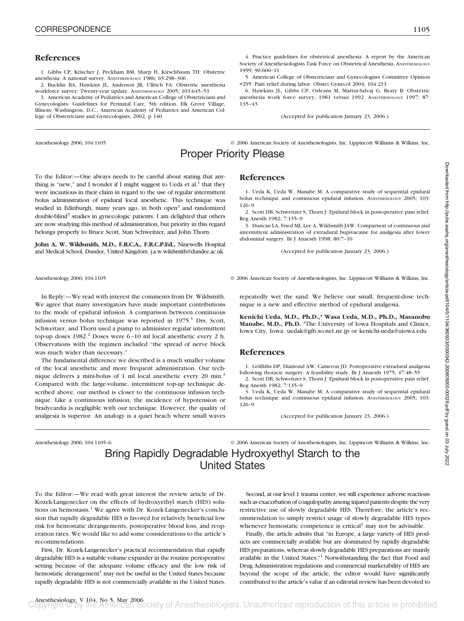### **References**

1. Gibbs CP, Krischer J, Peckham BM, Sharp H, Kirschbaum TH: Obstetric anesthesia: A national survey. ANESTHESIOLOGY 1986; 65:298–306

2. Bucklin BA, Hawkins JL, Anderson JR, Ullrich FA: Obstetric anesthesia workforce survey: Twenty-year update. ANESTHESIOLOGY 2005; 103:645–53

3. American Academy of Pediatrics and American College of Obstetricians and Gynecologists: Guidelines for Perinatal Care, 5th edition. Elk Grove Village, Illinois; Washington, D.C., American Academy of Pediatrics and American College of Obstetricians and Gynecologists, 2002, p 140

4. Practice guidelines for obstetrical anesthesia: A report by the American Society of Anesthesiologists Task Force on Obstetrical Anesthesia. ANESTHESIOLOGY 1999; 90:600–11

5. American College of Obstetricians and Gynecologists Committee Opinion #295: Pain relief during labor. Obstet Gynecol 2004; 104:213

6. Hawkins JL, Gibbs CP, Orleans M, Martin-Salvaj G, Beaty B: Obstetric anesthesia work force survey, 1981 versus 1992. ANESTHESIOLOGY 1997; 87: 135–43

(Accepted for publication January 23, 2006.)

Anesthesiology 2006; 104:1105 © 2006 American Society of Anesthesiologists, Inc. Lippincott Williams & Wilkins, Inc.

# Proper Priority Please

To the Editor:—One always needs to be careful about stating that anything is "new," and I wonder if I might suggest to Ueda et al.<sup>1</sup> that they were incautious in their claim in regard to the use of regular intermittent bolus administration of epidural local anesthetic. This technique was studied in Edinburgh, many years ago, in both open<sup>2</sup> and randomized double-blind<sup>3</sup> studies in gynecologic patients. I am delighted that others are now studying this method of administration, but priority in this regard belongs properly to Bruce Scott, Stan Schweitzer, and John Thorn.

**John A. W. Wildsmith, M.D., F.R.C.A., F.R.C.P.Ed.,** Ninewells Hospital and Medical School, Dundee, United Kingdom. j.a.w.wildsmith@dundee.ac.uk

In Reply:—We read with interest the comments from Dr. Wildsmith. We agree that many investigators have made important contributions to the mode of epidural infusion. A comparison between continuous infusion versus bolus technique was reported in  $1975<sup>1</sup>$  Drs. Scott, Schweitzer, and Thorn used a pump to administer regular intermittent top-up doses  $1982<sup>2</sup>$  Doses were 6–10 ml local anesthetic every 2 h. Observations with the regimen included "the spread of nerve block was much wider than necessary."

The fundamental difference we described is a much smaller volume of the local anesthetic and more frequent administration. Our technique delivers a mini-bolus of 1 ml local anesthetic every 20 min.<sup>3</sup> Compared with the large-volume, intermittent top-up technique described above, our method is closer to the continuous infusion technique. Like a continuous infusion, the incidence of hypotension or bradycardia is negligible with our technique. However, the quality of analgesia is superior. An analogy is a quiet beach where small waves

#### **References**

1. Ueda K, Ueda W, Manabe M: A comparative study of sequential epidural bolus technique and continuous epidural infusion. ANESTHESIOLOGY 2005; 103: 126–9

2. Scott DB, Schweitzer S, Thorn J: Epidural block in postoperative pain relief. Reg Anesth 1982; 7:135–9

3. Duncan LA, Fried MJ, Lee A, Wildsmith JAW: Comparison of continuous and intermittent administration of extradural bupivacaine for analgesia after lower abdominal surgery. Br J Anaesth 1998; 80:7–10

(Accepted for publication January 23, 2006.)

Anesthesiology 2006; 104:1105 © 2006 American Society of Anesthesiologists, Inc. Lippincott Williams & Wilkins, Inc.

repeatedly wet the sand. We believe our small, frequent-dose technique is a new and effective method of epidural analgesia.

**Kenichi Ueda, M.D., Ph.D.,\* Wasa Ueda, M.D., Ph.D., Masanobu Manabe, M.D., Ph.D.** \*The University of Iowa Hospitals and Clinics, Iowa City, Iowa. uedak@gf6.so-net.ne.jp or kenichi-ueda@uiowa.edu

### **References**

1. Griffiths DP, Diamond AW, Cameron JD: Postoperative extradural analgesia

following thoracic surgery: A feasibility study. Br J Anaesth 1975; 47:48–55 2. Scott DB, Schweitzer S, Thorn J: Epidural block in postoperative pain relief. Reg Anesth 1982; 7:135–9

3. Ueda K, Ueda W, Manabe M: A comparative study of sequential epidural bolus technique and continuous epidural infusion. ANESTHESIOLOGY 2005; 103: 126–9

(Accepted for publication January 23, 2006.)

Anesthesiology 2006; 104:1105–6 © 2006 American Society of Anesthesiologists, Inc. Lippincott Williams & Wilkins, Inc.

## Bring Rapidly Degradable Hydroxyethyl Starch to the United States

To the Editor:—We read with great interest the review article of Dr. Kozek-Langenecker on the effects of hydroxyethyl starch (HES) solutions on hemostasis.<sup>1</sup> We agree with Dr. Kozek-Langenecker's conclusion that rapidly degradable HES is favored for relatively beneficial low risk for hemostatic derangements, postoperative blood loss, and reoperation rates. We would like to add some considerations to the article's recommendations.

First, Dr. Kozek-Langenecker's practical recommendation that rapidly degradable HES is a suitable volume expander in the routine perioperative setting because of the adequate volume efficacy and the low risk of hemostatic derangement<sup>1</sup> may not be useful in the United States because rapidly degradable HES is not commercially available in the United States.

Second, at our level 1 trauma center, we still experience adverse reactions such as exacerbation of coagulopathy among injured patients despite the very restrictive use of slowly degradable HES. Therefore, the article's recommendation to simply restrict usage of slowly degradable HES types whenever hemostatic competence is critical<sup>1</sup> may not be advisable.

Finally, the article admits that "in Europe, a large variety of HES products are commercially available but are dominated by rapidly degradable HES preparations, whereas slowly degradable HES preparations are mainly available in the United States."1 Notwithstanding the fact that Food and Drug Administration regulations and commercial marketability of HES are beyond the scope of the article, the editor would have significantly contributed to the article's value if an editorial review has been devoted to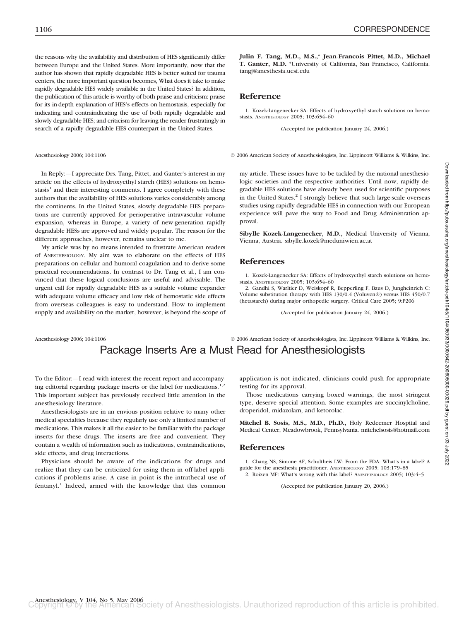the reasons why the availability and distribution of HES significantly differ between Europe and the United States. More importantly, now that the author has shown that rapidly degradable HES is better suited for trauma centers, the more important question becomes, What does it take to make rapidly degradable HES widely available in the United States? In addition, the publication of this article is worthy of both praise and criticism: praise for its in-depth explanation of HES's effects on hemostasis, especially for indicating and contraindicating the use of both rapidly degradable and slowly degradable HES; and criticism for leaving the reader frustratingly in search of a rapidly degradable HES counterpart in the United States.

In Reply:—I appreciate Drs. Tang, Pittet, and Ganter's interest in my article on the effects of hydroxyethyl starch (HES) solutions on hemostasis<sup>1</sup> and their interesting comments. I agree completely with these authors that the availability of HES solutions varies considerably among the continents. In the United States, slowly degradable HES preparations are currently approved for perioperative intravascular volume expansion, whereas in Europe, a variety of new-generation rapidly degradable HESs are approved and widely popular. The reason for the different approaches, however, remains unclear to me.

My article was by no means intended to frustrate American readers of ANESTHESIOLOGY. My aim was to elaborate on the effects of HES preparations on cellular and humoral coagulation and to derive some practical recommendations. In contrast to Dr. Tang et al., I am convinced that these logical conclusions are useful and advisable. The urgent call for rapidly degradable HES as a suitable volume expander with adequate volume efficacy and low risk of hemostatic side effects from overseas colleagues is easy to understand. How to implement supply and availability on the market, however, is beyond the scope of

**Julin F. Tang, M.D., M.S.,\* Jean-Francois Pittet, M.D., Michael T. Ganter, M.D.** \*University of California, San Francisco, California. tangj@anesthesia.ucsf.edu

### **Reference**

1. Kozek-Langenecker SA: Effects of hydroxyethyl starch solutions on hemostasis. ANESTHESIOLOGY 2005; 103:654–60

(Accepted for publication January 24, 2006.)

Anesthesiology 2006; 104:1106 © 2006 American Society of Anesthesiologists, Inc. Lippincott Williams & Wilkins, Inc.

my article. These issues have to be tackled by the national anesthesiologic societies and the respective authorities. Until now, rapidly degradable HES solutions have already been used for scientific purposes in the United States.<sup>2</sup> I strongly believe that such large-scale overseas studies using rapidly degradable HES in connection with our European experience will pave the way to Food and Drug Administration approval.

**Sibylle Kozek-Langenecker, M.D.,** Medical University of Vienna, Vienna, Austria. sibylle.kozek@meduniwien.ac.at

### **References**

1. Kozek-Langenecker SA: Effects of hydroxyethyl starch solutions on hemostasis. ANESTHESIOLOGY 2005; 103:654–60

2. Gandhi S, Warltier D, Weiskopf R, Bepperling F, Baus D, Jungheinrich C: Volume substitution therapy with HES 130/0.4 (Voluven®) versus HES 450/0.7 (hetastarch) during major orthopedic surgery. Critical Care 2005; 9:P206

(Accepted for publication January 24, 2006.)

Anesthesiology 2006; 104:1106 © 2006 American Society of Anesthesiologists, Inc. Lippincott Williams & Wilkins, Inc.

Package Inserts Are a Must Read for Anesthesiologists

To the Editor:—I read with interest the recent report and accompanying editorial regarding package inserts or the label for medications.<sup>1,2</sup> This important subject has previously received little attention in the anesthesiology literature.

Anesthesiologists are in an envious position relative to many other medical specialties because they regularly use only a limited number of medications. This makes it all the easier to be familiar with the package inserts for these drugs. The inserts are free and convenient. They contain a wealth of information such as indications, contraindications, side effects, and drug interactions.

Physicians should be aware of the indications for drugs and realize that they can be criticized for using them in off-label applications if problems arise. A case in point is the intrathecal use of fentanyl.<sup>1</sup> Indeed, armed with the knowledge that this common

application is not indicated, clinicians could push for appropriate testing for its approval.

Those medications carrying boxed warnings, the most stringent type, deserve special attention. Some examples are succinylcholine, droperidol, midazolam, and ketorolac.

**Mitchel B. Sosis, M.S., M.D., Ph.D.,** Holy Redeemer Hospital and Medical Center, Meadowbrook, Pennsylvania. mitchelsosis@hotmail.com

### **References**

1. Chang NS, Simone AF, Schultheis LW: From the FDA: What's in a label? A guide for the anesthesia practitioner. ANESTHESIOLOGY 2005; 103:179–85 2. Roizen MF: What's wrong with this label? ANESTHESIOLOGY 2005; 103:4–5

(Accepted for publication January 20, 2006.)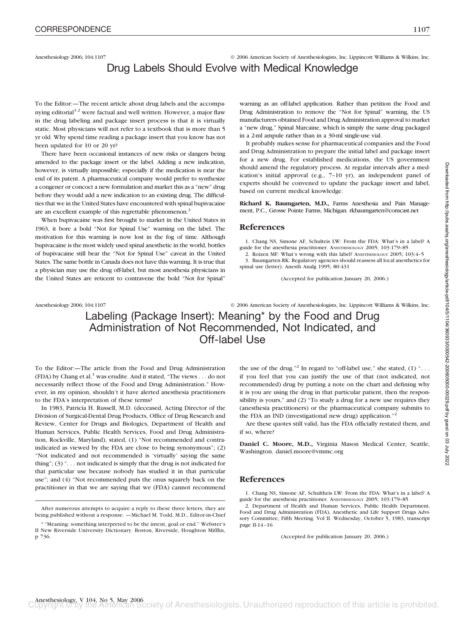Anesthesiology 2006; 104:1107 © 2006 American Society of Anesthesiologists, Inc. Lippincott Williams & Wilkins, Inc.

## Drug Labels Should Evolve with Medical Knowledge

To the Editor:—The recent article about drug labels and the accompanying editorial<sup>1,2</sup> were factual and well written. However, a major flaw in the drug labeling and package insert process is that it is virtually static. Most physicians will not refer to a textbook that is more than 5 yr old. Why spend time reading a package insert that you know has not been updated for 10 or 20 yr?

There have been occasional instances of new risks or dangers being amended to the package insert or the label. Adding a new indication, however, is virtually impossible; especially if the medication is near the end of its patent. A pharmaceutical company would prefer to synthesize a congener or concoct a new formulation and market this as a "new" drug before they would add a new indication to an existing drug. The difficulties that we in the United States have encountered with spinal bupivacaine are an excellent example of this regrettable phenomenon.<sup>3</sup>

When bupivacaine was first brought to market in the United States in 1963, it bore a bold "Not for Spinal Use" warning on the label. The motivation for this warning is now lost in the fog of time. Although bupivacaine is the most widely used spinal anesthetic in the world, bottles of bupivacaine still bear the "Not for Spinal Use" caveat in the United States. The same bottle in Canada does not have this warning. It is true that a physician may use the drug off-label, but most anesthesia physicians in the United States are reticent to contravene the bold "Not for Spinal"

warning as an off-label application. Rather than petition the Food and Drug Administration to remove the "Not for Spinal" warning, the US manufacturers obtained Food and Drug Administration approval to market a "new drug," Spinal Marcaine, which is simply the same drug packaged in a 2-ml ampule rather than in a 30-ml single-use vial.

It probably makes sense for pharmaceutical companies and the Food and Drug Administration to prepare the initial label and package insert for a new drug. For established medications, the US government should amend the regulatory process. At regular intervals after a medication's initial approval (e.g., 7–10 yr), an independent panel of experts should be convened to update the package insert and label, based on current medical knowledge.

**Richard K. Baumgarten, M.D.,** Farms Anesthesia and Pain Management, P.C., Grosse Pointe Farms, Michigan. rkbaumgarten@comcast.net

### **References**

1. Chang NS, Simone AF, Schulteis LW: From the FDA: What's in a label? A guide for the anesthesia practitioner. ANESTHESIOLOGY 2005; 103:179–85

2. Roizen MF: What's wrong with this label? ANESTHESIOLOGY 2005; 103:4–5 3. Baumgarten RK: Regulatory agencies should reassess all local anesthetics for spinal use (letter). Anesth Analg 1995; 80:431

(Accepted for publication January 20, 2006.)

Anesthesiology 2006; 104:1107 © 2006 American Society of Anesthesiologists, Inc. Lippincott Williams & Wilkins, Inc.

Labeling (Package Insert): Meaning\* by the Food and Drug Administration of Not Recommended, Not Indicated, and Off-label Use

To the Editor:—The article from the Food and Drug Administration (FDA) by Chang et al.<sup>1</sup> was erudite. And it stated, "The views . . . do not necessarily reflect those of the Food and Drug Administration." However, in my opinion, shouldn't it have alerted anesthesia practitioners to the FDA's interpretation of these terms?

In 1983, Patricia H. Russell, M.D. (deceased, Acting Director of the Division of Surgical-Dental Drug Products, Office of Drug Research and Review, Center for Drugs and Biologics, Department of Health and Human Services, Public Health Services, Food and Drug Administration, Rockville, Maryland), stated, (1) "Not recommended and contraindicated as viewed by the FDA are close to being synonymous"; (2) "Not indicated and not recommended is 'virtually' saying the same thing";  $(3)$  "... not indicated is simply that the drug is not indicated for that particular use because nobody has studied it in that particular use"; and (4) "Not recommended puts the onus squarely back on the practitioner in that we are saying that we (FDA) cannot recommend

the use of the drug."<sup>2</sup> In regard to "off-label use," she stated,  $(1)$  "... if you feel that you can justify the use of that (not indicated, not recommended) drug by putting a note on the chart and defining why it is you are using the drug in that particular patient, then the responsibility is yours," and (2) "To study a drug for a new use requires they (anesthesia practitioners) or the pharmaceutical company submits to the FDA an IND (investigational new drug) application.<sup>"2</sup>

Are these quotes still valid, has the FDA officially restated them, and if so, where?

**Daniel C. Moore, M.D.,** Virginia Mason Medical Center, Seattle, Washington. daniel.moore@vmmc.org

#### **References**

1. Chang NS, Simone AF, Schultheis LW: From the FDA: What's in a label? A guide for the anesthesia practitioner. ANESTHESIOLOGY 2005; 103:179–85

2. Department of Health and Human Services, Public Health Department, Food and Drug Administration (FDA), Anesthetic and Life Support Drugs Advisory Committee, Fifth Meeting. Vol II. Wednesday, October 5, 1983, transcript page II-14–16

(Accepted for publication January 20, 2006.)

After numerous attempts to acquire a reply to these three letters, they are being published without a response. —Michael M. Todd, M.D., Editor-in-Chief

<sup>\* &</sup>quot;Meaning: something interpreted to be the intent, goal or end." Webster's II New Riverside University Dictionary. Boston, Riverside, Houghton Mifflin, p 736.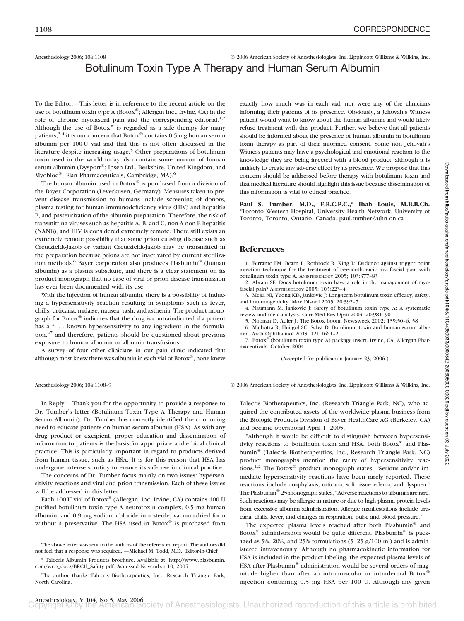Anesthesiology 2006; 104:1108 © 2006 American Society of Anesthesiologists, Inc. Lippincott Williams & Wilkins, Inc.

# Botulinum Toxin Type A Therapy and Human Serum Albumin

To the Editor:—This letter is in reference to the recent article on the use of botulinum toxin type A (Botox®; Allergan Inc., Irvine, CA) in the role of chronic myofascial pain and the corresponding editorial.<sup>1,2</sup> Although the use of Boto $x^{\circledast}$  is regarded as a safe therapy for many patients,3,4 it is our concern that Botox® contains 0.5 mg human serum albumin per 100-U vial and that this is not often discussed in the literature despite increasing usage.<sup>5</sup> Other preparations of botulinum toxin used in the world today also contain some amount of human serum albumin (Dysport®; Ipsen Ltd., Berkshire, United Kingdom, and Myobloc®; Elan Pharmaceuticals, Cambridge, MA).6

The human albumin used in Botox® is purchased from a division of the Bayer Corporation (Leverkusen, Germany). Measures taken to prevent disease transmission to humans include screening of donors, plasma testing for human immunodeficiency virus (HIV) and hepatitis B, and pasteurization of the albumin preparation. Therefore, the risk of transmitting viruses such as hepatitis A, B, and C, non-A non-B hepatitis (NANB), and HIV is considered extremely remote. There still exists an extremely remote possibility that some prion causing disease such as Creutzfeldt-Jakob or variant Creutzfeldt-Jakob may be transmitted in the preparation because prions are not inactivated by current sterilization methods.<sup>6</sup> Bayer corporation also produces Plasbumin® (human albumin) as a plasma substitute, and there is a clear statement on its product monograph that no case of viral or prion disease transmission has ever been documented with its use.

With the injection of human albumin, there is a possibility of inducing a hypersensitivity reaction resulting in symptoms such as fever, chills, urticaria, malaise, nausea, rash, and asthenia. The product monograph for Botox® indicates that the drug is contraindicated if a patient has a "... known hypersensitivity to any ingredient in the formulation,"7 and therefore, patients should be questioned about previous exposure to human albumin or albumin transfusions.

A survey of four other clinicians in our pain clinic indicated that although most knew there was albumin in each vial of Botox®, none knew

In Reply:—Thank you for the opportunity to provide a response to Dr. Tumber's letter (Botulinum Toxin Type A Therapy and Human Serum Albumin). Dr. Tumber has correctly identified the continuing need to educate patients on human serum albumin (HSA). As with any drug product or excipient, proper education and dissemination of information to patients is the basis for appropriate and ethical clinical practice. This is particularly important in regard to products derived from human tissue, such as HSA. It is for this reason that HSA has undergone intense scrutiny to ensure its safe use in clinical practice.

The concerns of Dr. Tumber focus mainly on two issues: hypersensitivity reactions and viral and prion transmission. Each of these issues will be addressed in this letter.

Each 100-U vial of Botox® (Allergan, Inc. Irvine, CA) contains 100 U purified botulinum toxin type A neurotoxin complex, 0.5 mg human albumin, and 0.9 mg sodium chloride in a sterile, vacuum-dried form without a preservative. The HSA used in Botox® is purchased from

The above letter was sent to the authors of the referenced report. The authors did not feel that a response was required. —Michael M. Todd, M.D., Editor-in-Chief

Talecris Albumin Products brochure. Available at: http://www.plasbumin. com/web\_docs/BRCH\_Safety.pdf. Accessed November 10, 2005.

The author thanks Talecris Biotherapeutics, Inc., Research Triangle Park, North Carolina.

exactly how much was in each vial, nor were any of the clinicians informing their patients of its presence. Obviously, a Jehovah's Witness patient would want to know about the human albumin and would likely refuse treatment with this product. Further, we believe that all patients should be informed about the presence of human albumin in botulinum toxin therapy as part of their informed consent. Some non–Jehovah's Witness patients may have a psychological and emotional reaction to the knowledge they are being injected with a blood product, although it is unlikely to create any adverse effect by its presence. We propose that this concern should be addressed before therapy with botulinum toxin and that medical literature should highlight this issue because dissemination of this information is vital to ethical practice.

**Paul S. Tumber, M.D., F.R.C.P.C.,\* Ihab Louis, M.B.B.Ch.** \*Toronto Western Hospital, University Health Network, University of Toronto, Toronto, Ontario, Canada. paul.tumber@uhn.on.ca

#### **References**

1. Ferrante FM, Bearn L, Rothrock R, King L: Evidence against trigger point injection technique for the treatment of cervicothoracic myofascial pain with botulinum toxin type A. ANESTHESIOLOGY 2005; 103:377–83

2. Abram SE: Does botulinum toxin have a role in the management of myofascial pain? ANESTHESIOLOGY 2005; 103:223–4

3. Mejia NI, Yuong KD, Jankovic J: Long-term botulinum toxin efficacy, safety, and immunogenicity. Mov Disord 2005; 20:592–7

4. Naumann M, Jankovic J: Safety of botulinum toxin type A: A systematic review and meta-analysis. Curr Med Res Opin 2004; 20:981–90

5. Noonan D, Adler J: The Botox boom. Newsweek 2002; 139:50–6, 58

6. Malhotra R, Huilgol SC, Selva D: Botulinum toxin and human serum albumin. Arch Ophthalmol 2003; 121:1661–2

7. Botox® (botulinum toxin type A) package insert. Irvine, CA, Allergan Pharmaceuticals, October 2004

(Accepted for publication January 23, 2006.)

Anesthesiology 2006; 104:1108–9 © 2006 American Society of Anesthesiologists, Inc. Lippincott Williams & Wilkins, Inc.

Talecris Biotherapeutics, Inc. (Research Triangle Park, NC), who acquired the contributed assets of the worldwide plasma business from the Biologic Products Division of Bayer HealthCare AG (Berkeley, CA) and became operational April 1, 2005.

\*Although it would be difficult to distinguish between hypersensitivity reactions to botulinum toxin and HSA, both Botox® and Plasbumin® (Talecris Biotherapeutics, Inc., Research Triangle Park, NC) product monographs mention the rarity of hypersensitivity reactions.1,2 The Botox® product monograph states, "Serious and/or immediate hypersensitivity reactions have been rarely reported. These reactions include anaphylaxis, urticaria, soft tissue edema, and dyspnea." The Plasbumin®-25 monograph states, "Adverse reactions to albumin are rare. Such reactions may be allergic in nature or due to high plasma protein levels from excessive albumin administration. Allergic manifestations include urticaria, chills, fever, and changes in respiration, pulse and blood pressure."

The expected plasma levels reached after both Plasbumin® and Botox® administration would be quite different. Plasbumin® is packaged as 5%, 20%, and 25% formulations (5–25 g/100 ml) and is administered intravenously. Although no pharmacokinetic information for HSA is included in the product labeling, the expected plasma levels of HSA after Plasbumin<sup>®</sup> administration would be several orders of magnitude higher than after an intramuscular or intradermal Botox<sup>®</sup> injection containing 0.5 mg HSA per 100 U. Although any given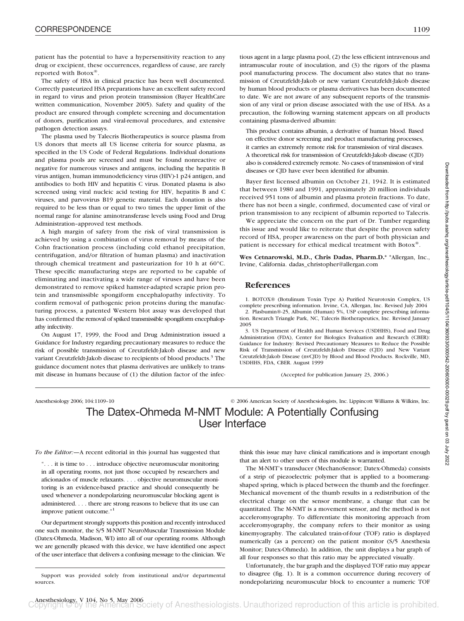patient has the potential to have a hypersensitivity reaction to any drug or excipient, these occurrences, regardless of cause, are rarely reported with Botox®.

The safety of HSA in clinical practice has been well documented. Correctly pasteurized HSA preparations have an excellent safety record in regard to virus and prion protein transmission (Bayer HealthCare written communication, November 2005). Safety and quality of the product are ensured through complete screening and documentation of donors, purification and viral-removal procedures, and extensive pathogen detection assays.

The plasma used by Talecris Biotherapeutics is source plasma from US donors that meets all US license criteria for source plasma, as specified in the US Code of Federal Regulations. Individual donations and plasma pools are screened and must be found nonreactive or negative for numerous viruses and antigens, including the hepatitis B virus antigen, human immunodeficiency virus (HIV)-1 p24 antigen, and antibodies to both HIV and hepatitis C virus. Donated plasma is also screened using viral nucleic acid testing for HIV, hepatitis B and C viruses, and parvovirus B19 genetic material. Each donation is also required to be less than or equal to two times the upper limit of the normal range for alanine aminotransferase levels using Food and Drug Administration–approved test methods.

A high margin of safety from the risk of viral transmission is achieved by using a combination of virus removal by means of the Cohn fractionation process (including cold ethanol precipitation, centrifugation, and/or filtration of human plasma) and inactivation through chemical treatment and pasteurization for 10 h at 60°C. These specific manufacturing steps are reported to be capable of eliminating and inactivating a wide range of viruses and have been demonstrated to remove spiked hamster-adapted scrapie prion protein and transmissible spongiform encephalopathy infectivity. To confirm removal of pathogenic prion proteins during the manufacturing process, a patented Western blot assay was developed that has confirmed the removal of spiked transmissible spongiform encephalopathy infectivity.

On August 17, 1999, the Food and Drug Administration issued a Guidance for Industry regarding precautionary measures to reduce the risk of possible transmission of Creutzfeldt-Jakob disease and new variant Creutzfeldt-Jakob disease to recipients of blood products.3 The guidance document notes that plasma derivatives are unlikely to transmit disease in humans because of (1) the dilution factor of the infec-

tious agent in a large plasma pool, (2) the less efficient intravenous and intramuscular route of inoculation, and (3) the rigors of the plasma pool manufacturing process. The document also states that no transmission of Creutzfeldt-Jakob or new variant Creutzfeldt-Jakob disease by human blood products or plasma derivatives has been documented to date. We are not aware of any subsequent reports of the transmission of any viral or prion disease associated with the use of HSA. As a precaution, the following warning statement appears on all products containing plasma-derived albumin:

This product contains albumin, a derivative of human blood. Based on effective donor screening and product manufacturing processes, it carries an extremely remote risk for transmission of viral diseases. A theoretical risk for transmission of Creutzfeldt-Jakob disease (CJD) also is considered extremely remote. No cases of transmission of viral diseases or CJD have ever been identified for albumin.

Bayer first licensed albumin on October 21, 1942. It is estimated that between 1980 and 1991, approximately 20 million individuals received 951 tons of albumin and plasma protein fractions. To date, there has not been a single, confirmed, documented case of viral or prion transmission to any recipient of albumin reported to Talecris.

We appreciate the concern on the part of Dr. Tumber regarding this issue and would like to reiterate that despite the proven safety record of HSA, proper awareness on the part of both physician and patient is necessary for ethical medical treatment with Botox®.

**Wes Cetnarowski, M.D., Chris Dadas, Pharm.D.\*** \*Allergan, Inc., Irvine, California. dadas\_christopher@allergan.com

#### **References**

1. BOTOX® (Botulinum Toxin Type A) Purified Neurotoxin Complex, US complete prescribing information. Irvine, CA, Allergan, Inc. Revised July 2004 2. Plasbumin®-25, Albumin (Human) 5%, USP complete prescribing information. Research Triangle Park, NC, Talecris Biotherapeutics, Inc. Revised January 2005

3. US Department of Health and Human Services (USDHHS), Food and Drug Administration (FDA), Center for Biologics Evaluation and Research (CBER): Guidance for Industry: Revised Precautionary Measures to Reduce the Possible Risk of Transmission of Creutzfeldt-Jakob Disease (CJD) and New Variant Creutzfeldt-Jakob Disease (nvCJD) by Blood and Blood Products. Rockville, MD, USDHHS, FDA, CBER. August 1999

(Accepted for publication January 23, 2006.)

Anesthesiology 2006; 104:1109–10 © 2006 American Society of Anesthesiologists, Inc. Lippincott Williams & Wilkins, Inc. The Datex-Ohmeda M-NMT Module: A Potentially Confusing User Interface

*To the Editor:*—A recent editorial in this journal has suggested that

". . . it is time to... introduce objective neuromuscular monitoring in all operating rooms, not just those occupied by researchers and aficionados of muscle relaxants.... objective neuromuscular monitoring is an evidence-based practice and should consequently be used whenever a nondepolarizing neuromuscular blocking agent is administered.... there are strong reasons to believe that its use can improve patient outcome."1

Our department strongly supports this position and recently introduced one such monitor, the S/5 M-NMT NeuroMuscular Transmission Module (Datex-Ohmeda, Madison, WI) into all of our operating rooms. Although we are generally pleased with this device, we have identified one aspect of the user interface that delivers a confusing message to the clinician. We

Support was provided solely from institutional and/or departmental sources.

think this issue may have clinical ramifications and is important enough that an alert to other users of this module is warranted.

The M-NMT's transducer (MechanoSensor; Datex-Ohmeda) consists of a strip of piezoelectric polymer that is applied to a boomerangshaped spring, which is placed between the thumb and the forefinger. Mechanical movement of the thumb results in a redistribution of the electrical charge on the sensor membrane, a change that can be quantitated. The M-NMT is a movement sensor, and the method is not acceleromyography. To differentiate this monitoring approach from acceleromyography, the company refers to their monitor as using kinemyography. The calculated train-of-four (TOF) ratio is displayed numerically (as a percent) on the patient monitor (S/5 Anesthesia Monitor; Datex-Ohmeda). In addition, the unit displays a bar graph of all four responses so that this ratio may be appreciated visually.

Unfortunately, the bar graph and the displayed TOF ratio may appear to disagree (fig. 1). It is a common occurrence during recovery of nondepolarizing neuromuscular block to encounter a numeric TOF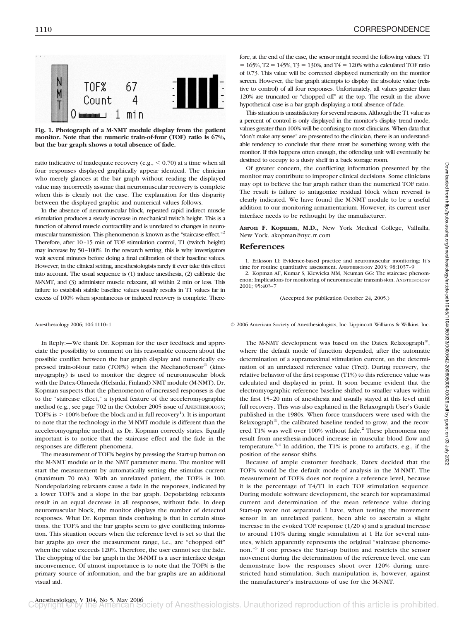

**Fig. 1. Photograph of a M-NMT module display from the patient monitor. Note that the numeric train-of-four (TOF) ratio is 67%, but the bar graph shows a total absence of fade.**

ratio indicative of inadequate recovery (e.g.,  $\leq 0.70$ ) at a time when all four responses displayed graphically appear identical. The clinician who merely glances at the bar graph without reading the displayed value may incorrectly assume that neuromuscular recovery is complete when this is clearly not the case. The explanation for this disparity between the displayed graphic and numerical values follows.

In the absence of neuromuscular block, repeated rapid indirect muscle stimulation produces a steady increase in mechanical twitch height. This is a function of altered muscle contractility and is unrelated to changes in neuromuscular transmission. This phenomenon is known as the "staircase effect."2 Therefore, after 10–15 min of TOF stimulation control, T1 (twitch height) may increase by 50–100%. In the research setting, this is why investigators wait several minutes before doing a final calibration of their baseline values. However, in the clinical setting, anesthesiologists rarely if ever take this effect into account. The usual sequence is (1) induce anesthesia, (2) calibrate the M-NMT, and (3) administer muscle relaxant, all within 2 min or less. This failure to establish stabile baseline values usually results in T1 values far in excess of 100% when spontaneous or induced recovery is complete. There-

In Reply:—We thank Dr. Kopman for the user feedback and appreciate the possibility to comment on his reasonable concern about the possible conflict between the bar graph display and numerically expressed train-of-four ratio (TOF%) when the MechanoSensor® (kinemyography) is used to monitor the degree of neuromuscular block with the Datex-Ohmeda (Helsinki, Finland) NMT module (M-NMT). Dr. Kopman suspects that the phenomenon of increased responses is due to the "staircase effect," a typical feature of the acceleromyographic method (e.g., see page 702 in the October 2005 issue of ANESTHESIOLOGY; TOF% is  $> 100\%$  before the block and in full recovery<sup>1</sup>). It is important to note that the technology in the M-NMT module is different than the acceleromyographic method, as Dr. Kopman correctly states. Equally important is to notice that the staircase effect and the fade in the responses are different phenomena.

The measurement of TOF% begins by pressing the Start-up button on the M-NMT module or in the NMT parameter menu. The monitor will start the measurement by automatically setting the stimulus current (maximum 70 mA). With an unrelaxed patient, the TOF% is 100. Nondepolarizing relaxants cause a fade in the responses, indicated by a lower TOF% and a slope in the bar graph. Depolarizing relaxants result in an equal decrease in all responses, without fade. In deep neuromuscular block, the monitor displays the number of detected responses. What Dr. Kopman finds confusing is that in certain situations, the TOF% and the bar graphs seem to give conflicting information. This situation occurs when the reference level is set so that the bar graphs go over the measurement range, i.e., are "chopped off" when the value exceeds 120%. Therefore, the user cannot see the fade. The chopping of the bar graph in the M-NMT is a user interface design inconvenience. Of utmost importance is to note that the TOF% is the primary source of information, and the bar graphs are an additional visual aid.

fore, at the end of the case, the sensor might record the following values: T1  $= 165\%$ , T2  $= 145\%$ , T3  $= 130\%$ , and T4  $= 120\%$  with a calculated TOF ratio of 0.73. This value will be corrected displayed numerically on the monitor screen. However, the bar graph attempts to display the absolute value (relative to control) of all four responses. Unfortunately, all values greater than 120% are truncated or "chopped off" at the top. The result in the above hypothetical case is a bar graph displaying a total absence of fade.

This situation is unsatisfactory for several reasons. Although the T1 value as a percent of control is only displayed in the monitor's display trend mode, values greater than 100% will be confusing to most clinicians. When data that "don't make any sense" are presented to the clinician, there is an understandable tendency to conclude that there must be something wrong with the monitor. If this happens often enough, the offending unit will eventually be destined to occupy to a dusty shelf in a back storage room.

Of greater concern, the conflicting information presented by the monitor may contribute to improper clinical decisions. Some clinicians may opt to believe the bar graph rather than the numerical TOF ratio. The result is failure to antagonize residual block when reversal is clearly indicated. We have found the M-NMT module to be a useful addition to our monitoring armamentarium. However, its current user interface needs to be rethought by the manufacturer.

**Aaron F. Kopman, M.D.,** New York Medical College, Valhalla, New York. akopman@nyc.rr.com

#### **References**

1. Eriksson LI: Evidence-based practice and neuromuscular monitoring: It's time for routine quantitative assessment. ANESTHESIOLOGY 2003; 98:1037–9

2. Kopman AF, Kumar S, Klewicka MM, Neuman GG: The staircase phenomenon: Implications for monitoring of neuromuscular transmission. ANESTHESIOLOGY 2001; 95:403–7

(Accepted for publication October 24, 2005.)

Anesthesiology 2006; 104:1110–1 © 2006 American Society of Anesthesiologists, Inc. Lippincott Williams & Wilkins, Inc.

The M-NMT development was based on the Datex Relaxograph®, where the default mode of function depended, after the automatic determination of a supramaximal stimulation current, on the determination of an unrelaxed reference value (Tref). During recovery, the relative behavior of the first response (T1%) to this reference value was calculated and displayed in print. It soon became evident that the electromyographic reference baseline shifted to smaller values within the first 15–20 min of anesthesia and usually stayed at this level until full recovery. This was also explained in the Relaxograph User's Guide published in the 1980s. When force transducers were used with the Relaxograph®, the calibrated baseline tended to grow, and the recovered T1% was well over 100% without fade.<sup>2</sup> These phenomena may result from anesthesia-induced increase in muscular blood flow and temperature.3,4 In addition, the T1% is prone to artifacts, e.g., if the position of the sensor shifts.

Because of ample customer feedback, Datex decided that the TOF% would be the default mode of analysis in the M-NMT. The measurement of TOF% does not require a reference level, because it is the percentage of T4/T1 in each TOF stimulation sequence. During module software development, the search for supramaximal current and determination of the mean reference value during Start-up were not separated. I have, when testing the movement sensor in an unrelaxed patient, been able to ascertain a slight increase in the evoked TOF response (1/20 s) and a gradual increase to around 110% during single stimulation at 1 Hz for several minutes, which apparently represents the original "staircase phenomenon."<sup>5</sup> If one presses the Start-up button and restricts the sensor movement during the determination of the reference level, one can demonstrate how the responses shoot over 120% during unrestricted hand stimulation. Such manipulation is, however, against the manufacturer's instructions of use for the M-NMT.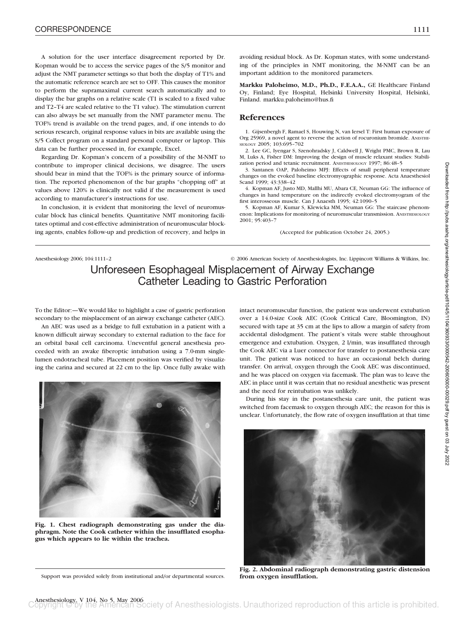A solution for the user interface disagreement reported by Dr. Kopman would be to access the service pages of the S/5 monitor and adjust the NMT parameter settings so that both the display of T1% and the automatic reference search are set to OFF. This causes the monitor to perform the supramaximal current search automatically and to display the bar graphs on a relative scale (T1 is scaled to a fixed value and T2–T4 are scaled relative to the T1 value). The stimulation current can also always be set manually from the NMT parameter menu. The TOF% trend is available on the trend pages, and, if one intends to do serious research, original response values in bits are available using the S/5 Collect program on a standard personal computer or laptop. This data can be further processed in, for example, Excel.

Regarding Dr. Kopman's concern of a possibility of the M-NMT to contribute to improper clinical decisions, we disagree. The users should bear in mind that the TOF% is the primary source of information. The reported phenomenon of the bar graphs "chopping off" at values above 120% is clinically not valid if the measurement is used according to manufacturer's instructions for use.

In conclusion, it is evident that monitoring the level of neuromuscular block has clinical benefits. Quantitative NMT monitoring facilitates optimal and cost-effective administration of neuromuscular blocking agents, enables follow-up and prediction of recovery, and helps in

avoiding residual block. As Dr. Kopman states, with some understanding of the principles in NMT monitoring, the M-NMT can be an important addition to the monitored parameters.

**Markku Paloheimo, M.D., Ph.D., F.E.A.A.,** GE Healthcare Finland Oy, Finland; Eye Hospital, Helsinki University Hospital, Helsinki, Finland. markku.paloheimo@hus.fi

### **References**

1. Gijsenbergh F, Ramael S, Houwing N, van Iersel T: First human exposure of Org 25969, a novel agent to reverse the action of rocuronium bromide. ANESTHE-SIOLOGY 2005; 103:695–702

2. Lee GC, Iyengar S, Szenohradsky J, Caldwell J, Wright PMC, Brown R, Lau M, Luks A, Fisher DM: Improving the design of muscle relaxant studies: Stabilization period and tetanic recruitment. ANESTHESIOLOGY 1997; 86:48-5

3. Santanen OAP, Paloheimo MPJ: Effects of small peripheral temperature changes on the evoked baseline electromyographic response. Acta Anaesthesiol Scand 1999; 43:338–42

4. Kopman AF, Justo MD, Mallhi MU, Abara CE, Neuman GG: The influence of changes in hand temperature on the indirectly evoked electromyogram of the first interosseous muscle. Can J Anaesth 1995; 42:1090–5

5. Kopman AF, Kumar S, Klewicka MM, Neuman GG: The staircase phenomenon: Implications for monitoring of neuromuscular transmission. ANESTHESIOLOGY 2001; 95:403–7

(Accepted for publication October 24, 2005.)

Anesthesiology 2006; 104:1111–2 © 2006 American Society of Anesthesiologists, Inc. Lippincott Williams & Wilkins, Inc.

# Unforeseen Esophageal Misplacement of Airway Exchange Catheter Leading to Gastric Perforation

To the Editor:—We would like to highlight a case of gastric perforation secondary to the misplacement of an airway exchange catheter (AEC).

An AEC was used as a bridge to full extubation in a patient with a known difficult airway secondary to external radiation to the face for an orbital basal cell carcinoma. Uneventful general anesthesia proceeded with an awake fiberoptic intubation using a 7.0-mm singlelumen endotracheal tube. Placement position was verified by visualizing the carina and secured at 22 cm to the lip. Once fully awake with



**Fig. 1. Chest radiograph demonstrating gas under the diaphragm. Note the Cook catheter within the insufflated esophagus which appears to lie within the trachea.**

Support was provided solely from institutional and/or departmental sources.

intact neuromuscular function, the patient was underwent extubation over a 14.0-size Cook AEC (Cook Critical Care, Bloomington, IN) secured with tape at 35 cm at the lips to allow a margin of safety from accidental dislodgment. The patient's vitals were stable throughout emergence and extubation. Oxygen, 2 l/min, was insufflated through the Cook AEC via a Luer connector for transfer to postanesthesia care unit. The patient was noticed to have an occasional belch during transfer. On arrival, oxygen through the Cook AEC was discontinued, and he was placed on oxygen via facemask. The plan was to leave the AEC in place until it was certain that no residual anesthetic was present and the need for reintubation was unlikely.

During his stay in the postanesthesia care unit, the patient was switched from facemask to oxygen through AEC; the reason for this is unclear. Unfortunately, the flow rate of oxygen insufflation at that time



**Fig. 2. Abdominal radiograph demonstrating gastric distension from oxygen insufflation.**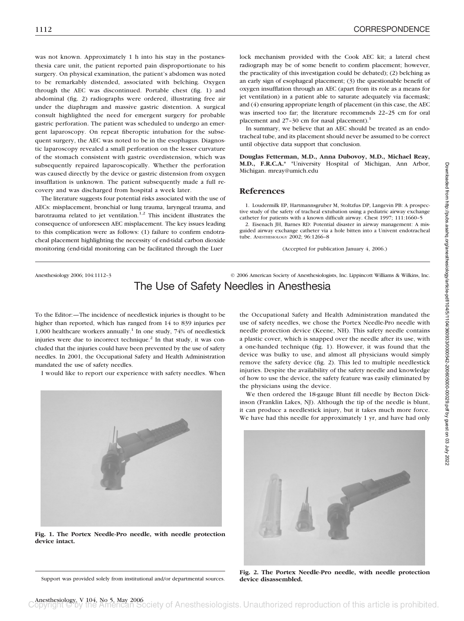was not known. Approximately 1 h into his stay in the postanesthesia care unit, the patient reported pain disproportionate to his surgery. On physical examination, the patient's abdomen was noted to be remarkably distended, associated with belching. Oxygen through the AEC was discontinued. Portable chest (fig. 1) and abdominal (fig. 2) radiographs were ordered, illustrating free air under the diaphragm and massive gastric distention. A surgical consult highlighted the need for emergent surgery for probable gastric perforation. The patient was scheduled to undergo an emergent laparoscopy. On repeat fiberoptic intubation for the subsequent surgery, the AEC was noted to be in the esophagus. Diagnostic laparoscopy revealed a small perforation on the lesser curvature of the stomach consistent with gastric overdistension, which was subsequently repaired laparoscopically. Whether the perforation was caused directly by the device or gastric distension from oxygen insufflation is unknown. The patient subsequently made a full recovery and was discharged from hospital a week later.

The literature suggests four potential risks associated with the use of AECs: misplacement, bronchial or lung trauma, laryngeal trauma, and barotrauma related to jet ventilation.<sup>1,2</sup> This incident illustrates the consequence of unforeseen AEC misplacement. The key issues leading to this complication were as follows: (1) failure to confirm endotracheal placement highlighting the necessity of end-tidal carbon dioxide monitoring (end-tidal monitoring can be facilitated through the Luer

lock mechanism provided with the Cook AEC kit; a lateral chest radiograph may be of some benefit to confirm placement; however, the practicality of this investigation could be debated); (2) belching as an early sign of esophageal placement; (3) the questionable benefit of oxygen insufflation through an AEC (apart from its role as a means for jet ventilation) in a patient able to saturate adequately via facemask; and (4) ensuring appropriate length of placement (in this case, the AEC was inserted too far; the literature recommends 22–25 cm for oral placement and 27-30 cm for nasal placement).<sup>1</sup>

In summary, we believe that an AEC should be treated as an endotracheal tube, and its placement should never be assumed to be correct until objective data support that conclusion.

**Douglas Fetterman, M.D., Anna Dubovoy, M.D., Michael Reay, M.D., F.R.C.A.\*** \*University Hospital of Michigan, Ann Arbor, Michigan. mreay@umich.edu

## **References**

1. Loudermilk EP, Hartmannsgruber M, Stoltzfus DP, Langevin PB: A prospective study of the safety of tracheal extubation using a pediatric airway exchange catheter for patients with a known difficult airway. Chest 1997; 111:1660–5

2. Eisenach JH, Barnes RD: Potential disaster in airway management: A misguided airway exchange catheter via a hole bitten into a Univent endotracheal tube. ANESTHESIOLOGY 2002; 96:1266–8

(Accepted for publication January 4, 2006.)

Anesthesiology 2006; 104:1112–3 © 2006 American Society of Anesthesiologists, Inc. Lippincott Williams & Wilkins, Inc.

The Use of Safety Needles in Anesthesia

To the Editor:—The incidence of needlestick injuries is thought to be higher than reported, which has ranged from 14 to 839 injuries per 1,000 healthcare workers annually.<sup>1</sup> In one study, 74% of needlestick injuries were due to incorrect technique.<sup>2</sup> In that study, it was concluded that the injuries could have been prevented by the use of safety needles. In 2001, the Occupational Safety and Health Administration mandated the use of safety needles.

I would like to report our experience with safety needles. When



**Fig. 1. The Portex Needle-Pro needle, with needle protection device intact.**

Support was provided solely from institutional and/or departmental sources.

the Occupational Safety and Health Administration mandated the use of safety needles, we chose the Portex Needle-Pro needle with needle protection device (Keene, NH). This safety needle contains a plastic cover, which is snapped over the needle after its use, with a one-handed technique (fig. 1). However, it was found that the device was bulky to use, and almost all physicians would simply remove the safety device (fig. 2). This led to multiple needlestick injuries. Despite the availability of the safety needle and knowledge of how to use the device, the safety feature was easily eliminated by the physicians using the device.

We then ordered the 18-gauge Blunt fill needle by Becton Dickinson (Franklin Lakes, NJ). Although the tip of the needle is blunt, it can produce a needlestick injury, but it takes much more force. We have had this needle for approximately 1 yr, and have had only



Downloaded from http://pubs.asahq.org/anteshogy/article-pdf/104/361033/0000642-200605000-00029.pdf by guest on 03 July 2022 Downloaded from http://pubs.asahq.org/anesthesiology/article-pdf/104/5/1104/360933/0000542-200605000-00029.pdf by guest on 03 July 2022

**Fig. 2. The Portex Needle-Pro needle, with needle protection device disassembled.**